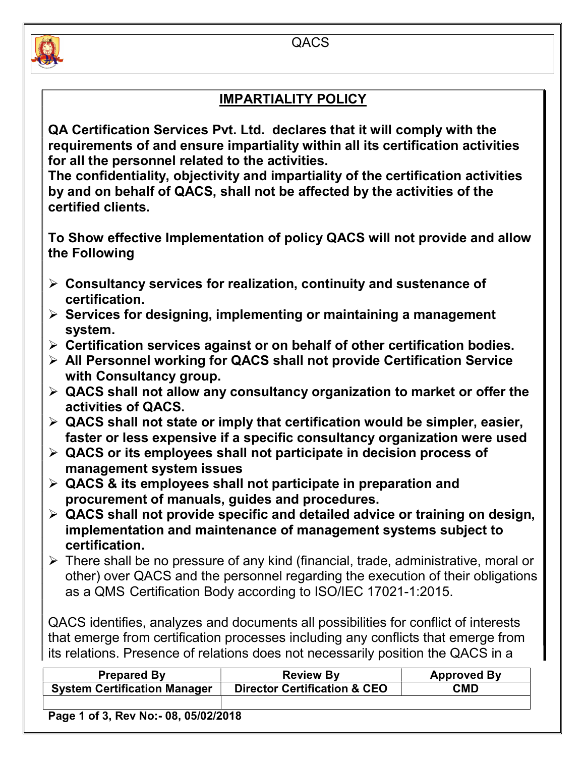



## IMPARTIALITY POLICY

QA Certification Services Pvt. Ltd. declares that it will comply with the requirements of and ensure impartiality within all its certification activities for all the personnel related to the activities.

The confidentiality, objectivity and impartiality of the certification activities by and on behalf of QACS, shall not be affected by the activities of the certified clients.

To Show effective Implementation of policy QACS will not provide and allow the Following

- $\triangleright$  Consultancy services for realization, continuity and sustenance of certification.
- $\triangleright$  Services for designing, implementing or maintaining a management system.
- $\triangleright$  Certification services against or on behalf of other certification bodies.
- $\triangleright$  All Personnel working for QACS shall not provide Certification Service with Consultancy group.
- $\triangleright$  QACS shall not allow any consultancy organization to market or offer the activities of QACS.
- $\triangleright$  QACS shall not state or imply that certification would be simpler, easier, faster or less expensive if a specific consultancy organization were used
- $\triangleright$  QACS or its employees shall not participate in decision process of management system issues
- $\triangleright$  QACS & its employees shall not participate in preparation and procurement of manuals, guides and procedures.
- $\triangleright$  QACS shall not provide specific and detailed advice or training on design, implementation and maintenance of management systems subject to certification.
- There shall be no pressure of any kind (financial, trade, administrative, moral or other) over QACS and the personnel regarding the execution of their obligations as a QMS Certification Body according to ISO/IEC 17021-1:2015.

QACS identifies, analyzes and documents all possibilities for conflict of interests that emerge from certification processes including any conflicts that emerge from its relations. Presence of relations does not necessarily position the QACS in a

| <b>Prepared By</b>                  | <b>Review By</b>                        | <b>Approved By</b> |
|-------------------------------------|-----------------------------------------|--------------------|
| <b>System Certification Manager</b> | <b>Director Certification &amp; CEO</b> | <b>CMD</b>         |
|                                     |                                         |                    |

Page 1 of 3, Rev No:- 08, 05/02/2018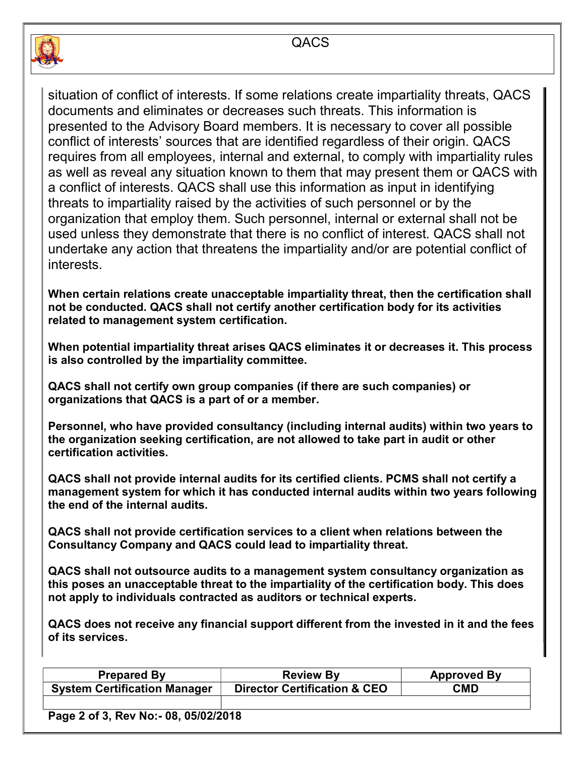



situation of conflict of interests. If some relations create impartiality threats, QACS documents and eliminates or decreases such threats. This information is presented to the Advisory Board members. It is necessary to cover all possible conflict of interests' sources that are identified regardless of their origin. QACS requires from all employees, internal and external, to comply with impartiality rules as well as reveal any situation known to them that may present them or QACS with a conflict of interests. QACS shall use this information as input in identifying threats to impartiality raised by the activities of such personnel or by the organization that employ them. Such personnel, internal or external shall not be used unless they demonstrate that there is no conflict of interest. QACS shall not undertake any action that threatens the impartiality and/or are potential conflict of interests.

When certain relations create unacceptable impartiality threat, then the certification shall not be conducted. QACS shall not certify another certification body for its activities related to management system certification.

When potential impartiality threat arises QACS eliminates it or decreases it. This process is also controlled by the impartiality committee.

QACS shall not certify own group companies (if there are such companies) or organizations that QACS is a part of or a member.

Personnel, who have provided consultancy (including internal audits) within two years to the organization seeking certification, are not allowed to take part in audit or other certification activities.

QACS shall not provide internal audits for its certified clients. PCMS shall not certify a management system for which it has conducted internal audits within two years following the end of the internal audits.

QACS shall not provide certification services to a client when relations between the Consultancy Company and QACS could lead to impartiality threat.

QACS shall not outsource audits to a management system consultancy organization as this poses an unacceptable threat to the impartiality of the certification body. This does not apply to individuals contracted as auditors or technical experts.

QACS does not receive any financial support different from the invested in it and the fees of its services.

| Prepared By                         | <b>Review By</b>                        | <b>Approved By</b> |
|-------------------------------------|-----------------------------------------|--------------------|
| <b>System Certification Manager</b> | <b>Director Certification &amp; CEO</b> | CMD                |
|                                     |                                         |                    |

Page 2 of 3, Rev No:- 08, 05/02/2018